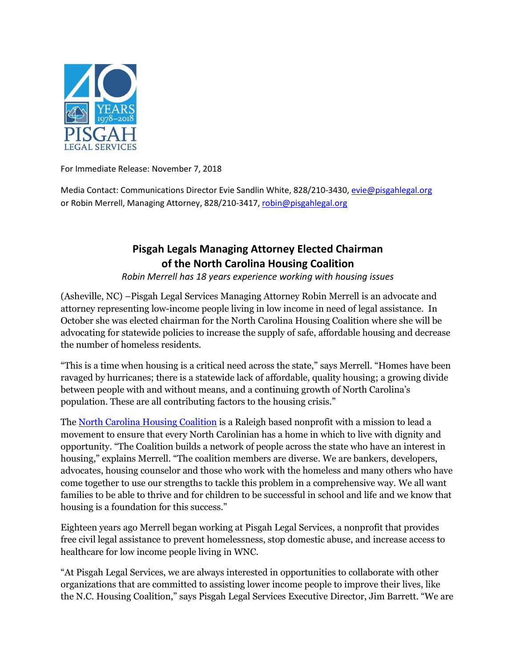

For Immediate Release: November 7, 2018

Media Contact: Communications Director Evie Sandlin White, 828/210-3430, evie@pisgahlegal.org or Robin Merrell, Managing Attorney, 828/210-3417, [robin@pisgahlegal.org](mailto:robin@pisgahlegal.org)

## **Pisgah Legals Managing Attorney Elected Chairman of the North Carolina Housing Coalition**

*Robin Merrell has 18 years experience working with housing issues*

(Asheville, NC) –Pisgah Legal Services Managing Attorney Robin Merrell is an advocate and attorney representing low-income people living in low income in need of legal assistance. In October she was elected chairman for the North Carolina Housing Coalition where she will be advocating for statewide policies to increase the supply of safe, affordable housing and decrease the number of homeless residents.

"This is a time when housing is a critical need across the state," says Merrell. "Homes have been ravaged by hurricanes; there is a statewide lack of affordable, quality housing; a growing divide between people with and without means, and a continuing growth of North Carolina's population. These are all contributing factors to the housing crisis."

The [North Carolina Housing Coalition](https://nchousing.org/) is a Raleigh based nonprofit with a mission to lead a movement to ensure that every North Carolinian has a home in which to live with dignity and opportunity. "The Coalition builds a network of people across the state who have an interest in housing," explains Merrell. "The coalition members are diverse. We are bankers, developers, advocates, housing counselor and those who work with the homeless and many others who have come together to use our strengths to tackle this problem in a comprehensive way. We all want families to be able to thrive and for children to be successful in school and life and we know that housing is a foundation for this success."

Eighteen years ago Merrell began working at Pisgah Legal Services, a nonprofit that provides free civil legal assistance to prevent homelessness, stop domestic abuse, and increase access to healthcare for low income people living in WNC.

"At Pisgah Legal Services, we are always interested in opportunities to collaborate with other organizations that are committed to assisting lower income people to improve their lives, like the N.C. Housing Coalition," says Pisgah Legal Services Executive Director, Jim Barrett. "We are